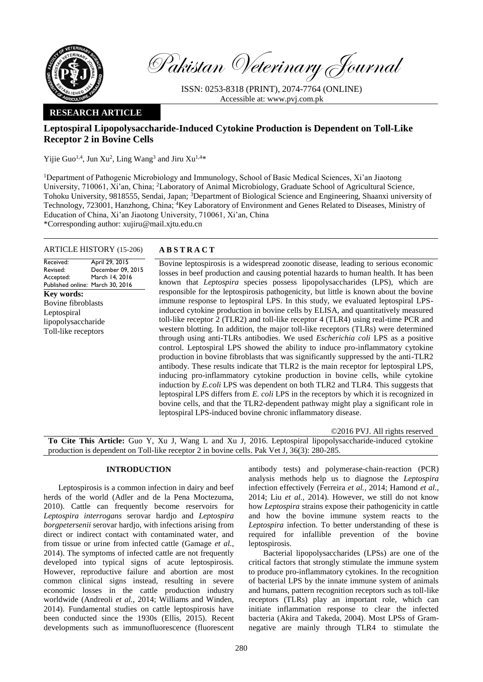

Pakistan Veterinary Journal

ISSN: 0253-8318 (PRINT), 2074-7764 (ONLINE) Accessible at: [www.pvj.com.pk](http://www.pvj.com.pk/)

## **RESEARCH ARTICLE**

# **Leptospiral Lipopolysaccharide-Induced Cytokine Production is Dependent on Toll-Like Receptor 2 in Bovine Cells**

Yijie Guo<sup>1,4</sup>, Jun Xu<sup>2</sup>, Ling Wang<sup>3</sup> and Jiru Xu<sup>1,4\*</sup>

<sup>1</sup>Department of Pathogenic Microbiology and Immunology, School of Basic Medical Sciences, Xi'an Jiaotong University, 710061, Xi'an, China; <sup>2</sup>Laboratory of Animal Microbiology, Graduate School of Agricultural Science, Tohoku University, 9818555, Sendai, Japan; <sup>3</sup>Department of Biological Science and Engineering, Shaanxi university of Technology, 723001, Hanzhong, China; <sup>4</sup>Key Laboratory of Environment and Genes Related to Diseases, Ministry of Education of China, Xi'an Jiaotong University, 710061, Xi'an, China \*Corresponding author: xujiru@mail.xjtu.edu.cn

## ARTICLE HISTORY (15-206) **A B S T R A C T**

Received: Revised: Accepted: Published online: March 30, 2016 April 29, 2015 December 09, 2015 March 14, 2016 **Key words:**  Bovine fibroblasts Leptospiral lipopolysaccharide Toll-like receptors

Bovine leptospirosis is a widespread zoonotic disease, leading to serious economic losses in beef production and causing potential hazards to human health. It has been known that *Leptospira* species possess lipopolysaccharides (LPS), which are responsible for the leptospirosis pathogenicity, but little is known about the bovine immune response to leptospiral LPS. In this study, we evaluated leptospiral LPSinduced cytokine production in bovine cells by ELISA, and quantitatively measured toll-like receptor 2 (TLR2) and toll-like receptor 4 (TLR4) using real-time PCR and western blotting. In addition, the major toll-like receptors (TLRs) were determined through using anti-TLRs antibodies. We used *Escherichia coli* LPS as a positive control. Leptospiral LPS showed the ability to induce pro-inflammatory cytokine production in bovine fibroblasts that was significantly suppressed by the anti-TLR2 antibody. These results indicate that TLR2 is the main receptor for leptospiral LPS, inducing pro-inflammatory cytokine production in bovine cells, while cytokine induction by *E.coli* LPS was dependent on both TLR2 and TLR4. This suggests that leptospiral LPS differs from *E. coli* LPS in the receptors by which it is recognized in bovine cells, and that the TLR2-dependent pathway might play a significant role in leptospiral LPS-induced bovine chronic inflammatory disease.

©2016 PVJ. All rights reserved

**To Cite This Article:** Guo Y, Xu J, Wang L and Xu J, 2016. Leptospiral lipopolysaccharide-induced cytokine production is dependent on Toll-like receptor 2 in bovine cells. Pak Vet J, 36(3): 280-285.

## **INTRODUCTION**

Leptospirosis is a common infection in dairy and beef herds of the world (Adler and de la Pena Moctezuma, 2010). Cattle can frequently become reservoirs for *Leptospira interrogans* serovar hardjo and *Leptospira borgpetersenii* serovar hardjo, with infections arising from direct or indirect contact with contaminated water, and from tissue or urine from infected cattle (Gamage *et al.*, 2014). The symptoms of infected cattle are not frequently developed into typical signs of acute leptospirosis. However, reproductive failure and abortion are most common clinical signs instead, resulting in severe economic losses in the cattle production industry worldwide (Andreoli *et al.*, 2014; Williams and Winden, 2014). Fundamental studies on cattle leptospirosis have been conducted since the 1930s (Ellis, 2015). Recent developments such as immunofluorescence (fluorescent antibody tests) and polymerase-chain-reaction (PCR) analysis methods help us to diagnose the *Leptospira* infection effectively (Ferreira *et al.,* 2014; Hamond *et al.*, 2014; Liu *et al.*, 2014). However, we still do not know how *Leptospira* strains expose their pathogenicity in cattle and how the bovine immune system reacts to the *Leptospira* infection. To better understanding of these is required for infallible prevention of the bovine leptospirosis.

Bacterial lipopolysaccharides (LPSs) are one of the critical factors that strongly stimulate the immune system to produce pro-inflammatory cytokines. In the recognition of bacterial LPS by the innate immune system of animals and humans, pattern recognition receptors such as toll-like receptors (TLRs) play an important role, which can initiate inflammation response to clear the infected bacteria (Akira and Takeda, 2004). Most LPSs of Gramnegative are mainly through TLR4 to stimulate the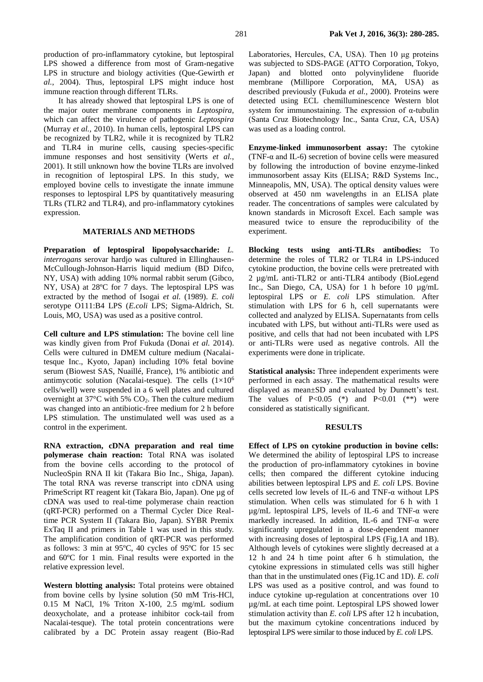It has already showed that leptospiral LPS is one of the major outer membrane components in *Leptospira*, which can affect the virulence of pathogenic *Leptospira* (Murray *et al.*, 2010). In human cells, leptospiral LPS can be recognized by TLR2, while it is recognized by TLR2 and TLR4 in murine cells, causing species-specific immune responses and host sensitivity (Werts *et al.*, 2001). It still unknown how the bovine TLRs are involved in recognition of leptospiral LPS. In this study, we employed bovine cells to investigate the innate immune responses to leptospiral LPS by quantitatively measuring TLRs (TLR2 and TLR4), and pro-inflammatory cytokines expression.

## **MATERIALS AND METHODS**

**Preparation of leptospiral lipopolysaccharide:** *L. interrogans* serovar hardjo was cultured in Ellinghausen-McCullough-Johnson-Harris liquid medium (BD Difco, NY, USA) with adding 10% normal rabbit serum (Gibco, NY, USA) at 28ºC for 7 days. The leptospiral LPS was extracted by the method of Isogai *et al.* (1989). *E. coli*  serotype O111:B4 LPS (*E.coli* LPS; Sigma-Aldrich, St. Louis, MO, USA) was used as a positive control.

**Cell culture and LPS stimulation:** The bovine cell line was kindly given from Prof Fukuda (Donai *et al.* 2014). Cells were cultured in DMEM culture medium (Nacalaitesque Inc., Kyoto, Japan) including 10% fetal bovine serum (Biowest SAS, Nuaillé, France), 1% antibiotic and antimycotic solution (Nacalai-tesque). The cells  $(1\times10^6$ cells/well) were suspended in a 6 well plates and cultured overnight at  $37^{\circ}$ C with 5% CO<sub>2</sub>. Then the culture medium was changed into an antibiotic-free medium for 2 h before LPS stimulation. The unstimulated well was used as a control in the experiment.

**RNA extraction, cDNA preparation and real time polymerase chain reaction:** Total RNA was isolated from the bovine cells according to the protocol of NucleoSpin RNA II kit (Takara Bio Inc., Shiga, Japan). The total RNA was reverse transcript into cDNA using PrimeScript RT reagent kit (Takara Bio, Japan). One µg of cDNA was used to real-time polymerase chain reaction (qRT-PCR) performed on a Thermal Cycler Dice Realtime PCR System II (Takara Bio, Japan). SYBR Premix ExTaq II and primers in Table 1 was used in this study. The amplification condition of qRT-PCR was performed as follows: 3 min at 95ºC, 40 cycles of 95ºC for 15 sec and 60ºC for 1 min. Final results were exported in the relative expression level.

**Western blotting analysis:** Total proteins were obtained from bovine cells by lysine solution (50 mM Tris-HCl, 0.15 M NaCl, 1% Triton X-100, 2.5 mg/mL sodium deoxycholate, and a protease inhibitor cock-tail from Nacalai-tesque). The total protein concentrations were calibrated by a DC Protein assay reagent (Bio-Rad Laboratories, Hercules, CA, USA). Then 10 μg proteins was subjected to SDS-PAGE (ATTO Corporation, Tokyo, Japan) and blotted onto polyvinylidene fluoride membrane (Millipore Corporation, MA, USA) as described previously (Fukuda *et al.*, 2000). Proteins were detected using ECL chemilluminescence Western blot system for immunostaining. The expression of α-tubulin (Santa Cruz Biotechnology Inc., Santa Cruz, CA, USA) was used as a loading control.

**Enzyme-linked immunosorbent assay:** The cytokine (TNF- $\alpha$  and IL-6) secretion of bovine cells were measured by following the introduction of bovine enzyme-linked immunosorbent assay Kits (ELISA; R&D Systems Inc., Minneapolis, MN, USA). The optical density values were observed at 450 nm wavelengths in an ELISA plate reader. The concentrations of samples were calculated by known standards in Microsoft Excel. Each sample was measured twice to ensure the reproducibility of the experiment.

**Blocking tests using anti-TLRs antibodies:** To determine the roles of TLR2 or TLR4 in LPS-induced cytokine production, the bovine cells were pretreated with 2 µg/mL anti-TLR2 or anti-TLR4 antibody (BioLegend Inc., San Diego, CA, USA) for 1 h before 10 µg/mL leptospiral LPS or *E. coli* LPS stimulation. After stimulation with LPS for 6 h, cell supernatants were collected and analyzed by ELISA. Supernatants from cells incubated with LPS, but without anti-TLRs were used as positive, and cells that had not been incubated with LPS or anti-TLRs were used as negative controls. All the experiments were done in triplicate.

**Statistical analysis:** Three independent experiments were performed in each assay. The mathematical results were displayed as mean±SD and evaluated by Dunnett's test. The values of  $P<0.05$  (\*) and  $P<0.01$  (\*\*) were considered as statistically significant.

## **RESULTS**

**Effect of LPS on cytokine production in bovine cells:** We determined the ability of leptospiral LPS to increase the production of pro-inflammatory cytokines in bovine cells; then compared the different cytokine inducing abilities between leptospiral LPS and *E. coli* LPS. Bovine cells secreted low levels of IL-6 and TNF-α without LPS stimulation. When cells was stimulated for 6 h with 1 µg/mL leptospiral LPS, levels of IL-6 and TNF-α were markedly increased. In addition, IL-6 and TNF-α were significantly upregulated in a dose-dependent manner with increasing doses of leptospiral LPS (Fig.1A and 1B). Although levels of cytokines were slightly decreased at a 12 h and 24 h time point after 6 h stimulation, the cytokine expressions in stimulated cells was still higher than that in the unstimulated ones (Fig.1C and 1D). *E. coli* LPS was used as a positive control, and was found to induce cytokine up-regulation at concentrations over 10 µg/mL at each time point. Leptospiral LPS showed lower stimulation activity than *E. coli* LPS after 12 h incubation, but the maximum cytokine concentrations induced by leptospiral LPS were similar to those induced by *E. coli* LPS.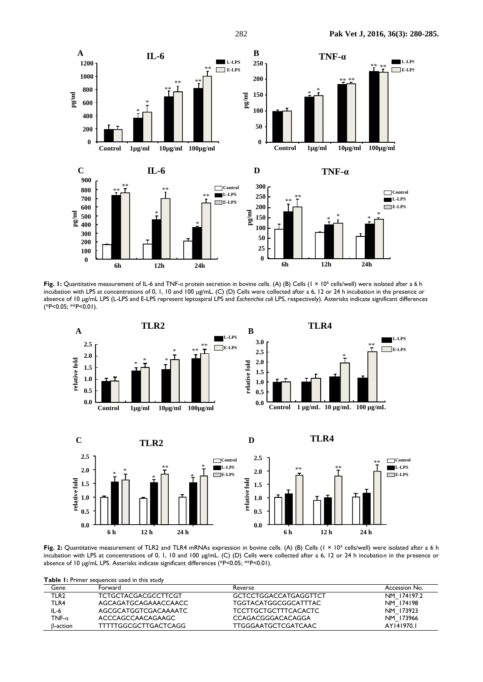

**Fig. 1:** Quantitative measurement of IL-6 and TNF-α protein secretion in bovine cells. (A) (B) Cells (1 × 10<sup>6</sup> cells/well) were isolated after a 6 h incubation with LPS at concentrations of 0, 1, 10 and 100 µg/mL. (C) (D) Cells were collected after a 6, 12 or 24 h incubation in the presence or absence of 10 µg/mL LPS (L-LPS and E-LPS represent leptospiral LPS and *Escherichia coli* LPS, respectively). Asterisks indicate significant differences (\*P<0.05; \*\*P<0.01).







Fig. 2: Quantitative measurement of TLR2 and TLR4 mRNAs expression in bovine cells. (A) (B) Cells (1 × 10<sup>6</sup> cells/well) were isolated after a 6 h incubation with LPS at concentrations of 0, 1, 10 and 100 µg/mL. (C) (D) Cells were collected after a 6, 12 or 24 h incubation in the presence or absence of 10 µg/mL LPS. Asterisks indicate significant differences (\*P<0.05; \*\*P<0.01).

**Table 1:** Primer sequences used in this study

| Gene             | Forward                    | Reverse                      | Accession No. |
|------------------|----------------------------|------------------------------|---------------|
| TLR <sub>2</sub> | <b>TCTGCTACGACGCCTTCGT</b> | <b>GCTCCTGGACCATGAGGTTCT</b> | NM 174197.2   |
| TLR4             | AGCAGATGCAGAAACCAACC       | TGGTACATGGCGGCATTTAC         | NM 174198     |
| IL-6             | AGCGCATGGTCGACAAAATC       | <b>TCCTTGCTGCTTTCACACTC</b>  | NM 173923     |
| TNF- $\alpha$    | ACCCAGCCAACAGAAGC          | CCAGACGGGACACAGGA            | NM 173966     |
| ß-action         | TTTTTGGCGCTTGACTCAGG       | TTGGGAATGCTCGATCAAC          | AY141970.1    |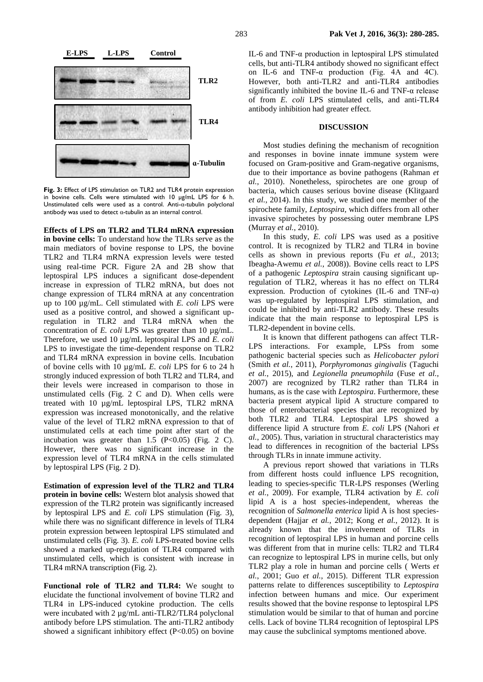

**Fig. 3:** Effect of LPS stimulation on TLR2 and TLR4 protein expression in bovine cells. Cells were stimulated with 10 µg/mL LPS for 6 h. Unstimulated cells were used as a control. Anti-α-tubulin polyclonal antibody was used to detect α-tubulin as an internal control.

**Effects of LPS on TLR2 and TLR4 mRNA expression in bovine cells:** To understand how the TLRs serve as the main mediators of bovine response to LPS, the bovine TLR2 and TLR4 mRNA expression levels were tested using real-time PCR. Figure 2A and 2B show that leptospiral LPS induces a significant dose-dependent increase in expression of TLR2 mRNA, but does not change expression of TLR4 mRNA at any concentration up to 100 µg/mL. Cell stimulated with *E. coli* LPS were used as a positive control, and showed a significant upregulation in TLR2 and TLR4 mRNA when the concentration of *E. coli* LPS was greater than 10 µg/mL. Therefore, we used 10 µg/mL leptospiral LPS and *E. coli* LPS to investigate the time-dependent response on TLR2 and TLR4 mRNA expression in bovine cells. Incubation of bovine cells with 10 µg/mL *E. coli* LPS for 6 to 24 h strongly induced expression of both TLR2 and TLR4, and their levels were increased in comparison to those in unstimulated cells (Fig. 2 C and D). When cells were treated with 10 µg/mL leptospiral LPS, TLR2 mRNA expression was increased monotonically, and the relative value of the level of TLR2 mRNA expression to that of unstimulated cells at each time point after start of the incubation was greater than  $1.5$  (P<0.05) (Fig. 2 C). However, there was no significant increase in the expression level of TLR4 mRNA in the cells stimulated by leptospiral LPS (Fig. 2 D).

**Estimation of expression level of the TLR2 and TLR4 protein in bovine cells:** Western blot analysis showed that expression of the TLR2 protein was significantly increased by leptospiral LPS and *E. coli* LPS stimulation (Fig. 3), while there was no significant difference in levels of TLR4 protein expression between leptospiral LPS stimulated and unstimulated cells (Fig. 3). *E. coli* LPS-treated bovine cells showed a marked up-regulation of TLR4 compared with unstimulated cells, which is consistent with increase in TLR4 mRNA transcription (Fig. 2).

**Functional role of TLR2 and TLR4:** We sought to elucidate the functional involvement of bovine TLR2 and TLR4 in LPS-induced cytokine production. The cells were incubated with  $2 \mu g/mL$  anti-TLR2/TLR4 polyclonal antibody before LPS stimulation. The anti-TLR2 antibody showed a significant inhibitory effect  $(P<0.05)$  on bovine

IL-6 and TNF- $\alpha$  production in leptospiral LPS stimulated cells, but anti-TLR4 antibody showed no significant effect on IL-6 and TNF-α production (Fig. 4A and 4C). However, both anti-TLR2 and anti-TLR4 antibodies significantly inhibited the bovine IL-6 and TNF- $\alpha$  release of from *E. coli* LPS stimulated cells, and anti-TLR4 antibody inhibition had greater effect.

## **DISCUSSION**

Most studies defining the mechanism of recognition and responses in bovine innate immune system were focused on Gram-positive and Gram-negative organisms, due to their importance as bovine pathogens (Rahman *et al.*, 2010). Nonetheless, spirochetes are one group of bacteria, which causes serious bovine disease (Klitgaard *et al.*, 2014). In this study, we studied one member of the spirochete family, *Leptospira*, which differs from all other invasive spirochetes by possessing outer membrane LPS (Murray *et al.*, 2010).

In this study, *E. coli* LPS was used as a positive control. It is recognized by TLR2 and TLR4 in bovine cells as shown in previous reports (Fu *et al.*, 2013; Ibeagha-Awemu *et al.*, 2008)). Bovine cells react to LPS of a pathogenic *Leptospira* strain causing significant upregulation of TLR2, whereas it has no effect on TLR4 expression. Production of cytokines (IL-6 and TNF- $\alpha$ ) was up-regulated by leptospiral LPS stimulation, and could be inhibited by anti-TLR2 antibody. These results indicate that the main response to leptospiral LPS is TLR2-dependent in bovine cells.

It is known that different pathogens can affect TLR-LPS interactions. For example, LPSs from some pathogenic bacterial species such as *Helicobacter pylori* (Smith *et al.*, 2011), *Porphyromonas gingivalis* (Taguchi *et al.*, 2015), and *Legionella pneumophila* (Fuse *et al.*, 2007) are recognized by TLR2 rather than TLR4 in humans, as is the case with *Leptospira*. Furthermore, these bacteria present atypical lipid A structure compared to those of enterobacterial species that are recognized by both TLR2 and TLR4. Leptospiral LPS showed a difference lipid A structure from *E. coli* LPS (Nahori *et al.*, 2005). Thus, variation in structural characteristics may lead to differences in recognition of the bacterial LPSs through TLRs in innate immune activity.

A previous report showed that variations in TLRs from different hosts could influence LPS recognition, leading to species-specific TLR-LPS responses (Werling *et al.*, 2009). For example, TLR4 activation by *E. coli* lipid A is a host species-independent, whereas the recognition of *Salmonella enterica* lipid A is host speciesdependent (Hajjar *et al.*, 2012; Kong *et al.*, 2012). It is already known that the involvement of TLRs in recognition of leptospiral LPS in human and porcine cells was different from that in murine cells: TLR2 and TLR4 can recognize to leptospiral LPS in murine cells, but only TLR2 play a role in human and porcine cells ( Werts *et al.*, 2001; Guo *et al.*, 2015). Different TLR expression patterns relate to differences susceptibility to *Leptospira*  infection between humans and mice. Our experiment results showed that the bovine response to leptospiral LPS stimulation would be similar to that of human and porcine cells. Lack of bovine TLR4 recognition of leptospiral LPS may cause the subclinical symptoms mentioned above.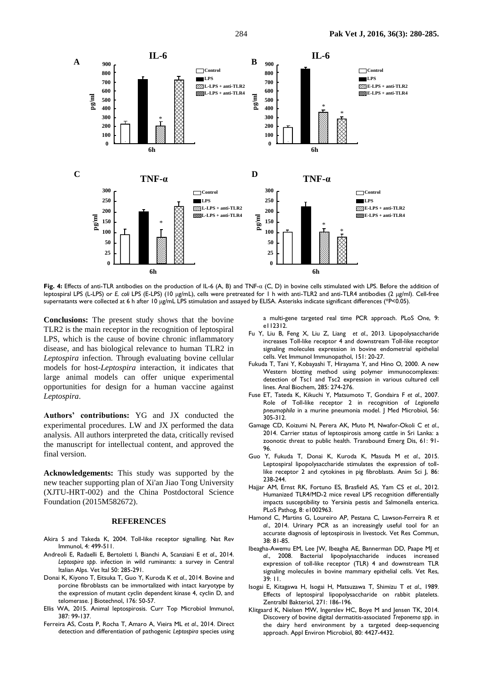

**Fig. 4:** Effects of anti-TLR antibodies on the production of IL-6 (A, B) and TNF-α (C, D) in bovine cells stimulated with LPS. Before the addition of leptospiral LPS (L-LPS) or *E. coli* LPS (E-LPS) (10 μg/mL), cells were pretreated for 1 h with anti-TLR2 and anti-TLR4 antibodies (2 μg/ml). Cell-free supernatants were collected at 6 h after 10 μg/mL LPS stimulation and assayed by ELISA. Asterisks indicate significant differences (\*P<0.05).

**Conclusions:** The present study shows that the bovine TLR2 is the main receptor in the recognition of leptospiral LPS, which is the cause of bovine chronic inflammatory disease, and has biological relevance to human TLR2 in *Leptospira* infection. Through evaluating bovine cellular models for host-*Leptospira* interaction, it indicates that large animal models can offer unique experimental opportunities for design for a human vaccine against *Leptospira*.

**Authors' contributions:** YG and JX conducted the experimental procedures. LW and JX performed the data analysis. All authors interpreted the data, critically revised the manuscript for intellectual content, and approved the final version.

**Acknowledgements:** This study was supported by the new teacher supporting plan of Xi'an Jiao Tong University (XJTU-HRT-002) and the China Postdoctoral Science Foundation (2015M582672).

#### **REFERENCES**

- Akira S and Takeda K, 2004. Toll-like receptor signalling. Nat Rev Immunol, 4: 499-511.
- Andreoli E, Radaelli E, Bertoletti I, Bianchi A, Scanziani E *et al*., 2014. *Leptospira spp*. infection in wild ruminants: a survey in Central Italian Alps. Vet Ital 50: 285-291.
- Donai K, Kiyono T, Eitsuka T, Guo Y, Kuroda K *et al*., 2014. Bovine and porcine fibroblasts can be immortalized with intact karyotype by the expression of mutant cyclin dependent kinase 4, cyclin D, and telomerase. | Biotechnol, 176: 50-57.
- Ellis WA, 2015. Animal leptospirosis. Curr Top Microbiol Immunol, 387: 99-137.
- Ferreira AS, Costa P, Rocha T, Amaro A, Vieira ML *et al*., 2014. Direct detection and differentiation of pathogenic *Leptospira* species using

a multi-gene targeted real time PCR approach. PLoS One, 9: e112312.

- Fu Y, Liu B, Feng X, Liu Z, Liang *et al*., 2013. Lipopolysaccharide increases Toll-like receptor 4 and downstream Toll-like receptor signaling molecules expression in bovine endometrial epithelial cells. Vet Immunol Immunopathol, 151: 20-27.
- Fukuda T, Tani Y, Kobayashi T, Hirayama Y, and Hino O, 2000. A new Western blotting method using polymer immunocomplexes: detection of Tsc1 and Tsc2 expression in various cultured cell lines. Anal Biochem, 285: 274-276.
- Fuse ET, Tateda K, Kikuchi Y, Matsumoto T, Gondaira F *et al*., 2007. Role of Toll-like receptor 2 in recognition of *Legionella pneumophila* in a murine pneumonia model. J Med Microbiol, 56: 305-312.
- Gamage CD, Koizumi N, Perera AK, Muto M, Nwafor-Okoli C *et al*., 2014. Carrier status of leptospirosis among cattle in Sri Lanka: a zoonotic threat to public health. Transbound Emerg Dis, 61: 91- 96.
- Guo Y, Fukuda T, Donai K, Kuroda K, Masuda M *et al*., 2015. Leptospiral lipopolysaccharide stimulates the expression of tolllike receptor 2 and cytokines in pig fibroblasts. Anim Sci J, 86: 238-244.
- Hajjar AM, Ernst RK, Fortuno ES, Brasfield AS, Yam CS *et al*., 2012. Humanized TLR4/MD-2 mice reveal LPS recognition differentially impacts susceptibility to Yersinia pestis and Salmonella enterica. PLoS Pathog, 8: e1002963.
- Hamond C, Martins G, Loureiro AP, Pestana C, Lawson-Ferreira R *et al*., 2014. Urinary PCR as an increasingly useful tool for an accurate diagnosis of leptospirosis in livestock. Vet Res Commun, 38: 81-85.
- Ibeagha-Awemu EM, Lee JW, Ibeagha AE, Bannerman DD, Paape MJ *et al*., 2008. Bacterial lipopolysaccharide induces increased expression of toll-like receptor (TLR) 4 and downstream TLR signaling molecules in bovine mammary epithelial cells. Vet Res, 39: 11.
- Isogai E, Kitagawa H, Isogai H, Matsuzawa T, Shimizu T *et al*., 1989. Effects of leptospiral lipopolysaccharide on rabbit platelets. Zentralbl Bakteriol, 271: 186-196.
- Klitgaard K, Nielsen MW, Ingerslev HC, Boye M and Jensen TK, 2014. Discovery of bovine digital dermatitis-associated *Treponema spp*. in the dairy herd environment by a targeted deep-sequencing approach. Appl Environ Microbiol, 80: 4427-4432.